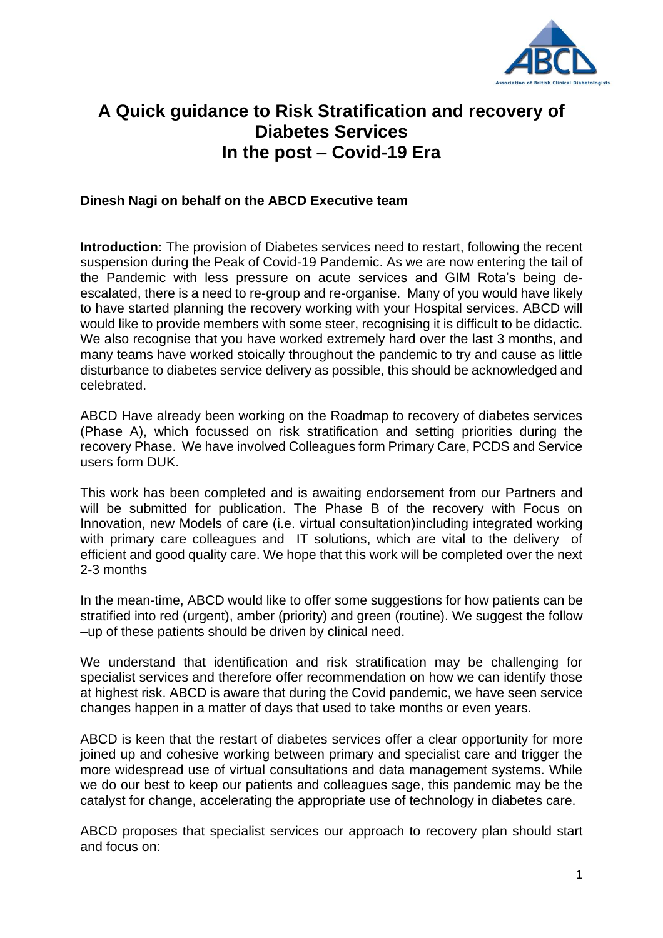

# **A Quick guidance to Risk Stratification and recovery of Diabetes Services In the post – Covid-19 Era**

## **Dinesh Nagi on behalf on the ABCD Executive team**

**Introduction:** The provision of Diabetes services need to restart, following the recent suspension during the Peak of Covid-19 Pandemic. As we are now entering the tail of the Pandemic with less pressure on acute services and GIM Rota's being deescalated, there is a need to re-group and re-organise. Many of you would have likely to have started planning the recovery working with your Hospital services. ABCD will would like to provide members with some steer, recognising it is difficult to be didactic. We also recognise that you have worked extremely hard over the last 3 months, and many teams have worked stoically throughout the pandemic to try and cause as little disturbance to diabetes service delivery as possible, this should be acknowledged and celebrated.

ABCD Have already been working on the Roadmap to recovery of diabetes services (Phase A), which focussed on risk stratification and setting priorities during the recovery Phase. We have involved Colleagues form Primary Care, PCDS and Service users form DUK.

This work has been completed and is awaiting endorsement from our Partners and will be submitted for publication. The Phase B of the recovery with Focus on Innovation, new Models of care (i.e. virtual consultation)including integrated working with primary care colleagues and IT solutions, which are vital to the delivery of efficient and good quality care. We hope that this work will be completed over the next 2-3 months

In the mean-time, ABCD would like to offer some suggestions for how patients can be stratified into red (urgent), amber (priority) and green (routine). We suggest the follow –up of these patients should be driven by clinical need.

We understand that identification and risk stratification may be challenging for specialist services and therefore offer recommendation on how we can identify those at highest risk. ABCD is aware that during the Covid pandemic, we have seen service changes happen in a matter of days that used to take months or even years.

ABCD is keen that the restart of diabetes services offer a clear opportunity for more joined up and cohesive working between primary and specialist care and trigger the more widespread use of virtual consultations and data management systems. While we do our best to keep our patients and colleagues sage, this pandemic may be the catalyst for change, accelerating the appropriate use of technology in diabetes care.

ABCD proposes that specialist services our approach to recovery plan should start and focus on: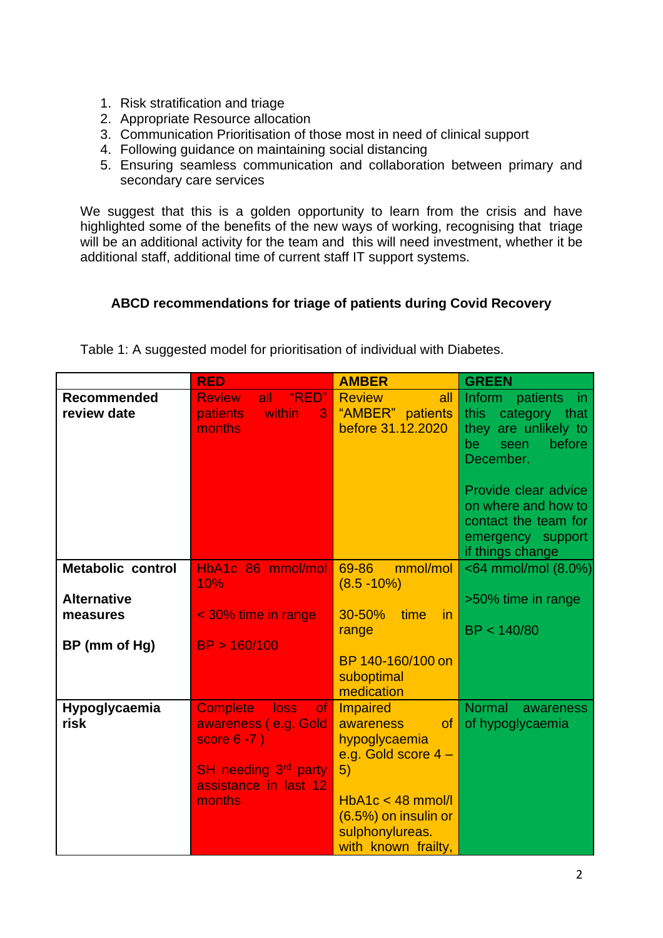- 1. Risk stratification and triage
- 2. Appropriate Resource allocation
- 3. Communication Prioritisation of those most in need of clinical support
- 4. Following guidance on maintaining social distancing
- 5. Ensuring seamless communication and collaboration between primary and secondary care services

We suggest that this is a golden opportunity to learn from the crisis and have highlighted some of the benefits of the new ways of working, recognising that triage will be an additional activity for the team and this will need investment, whether it be additional staff, additional time of current staff IT support systems.

# **ABCD recommendations for triage of patients during Covid Recovery**

|                                   | <b>RED</b>                                                                                                                                     | <b>AMBER</b>                                                                                                                                                                       | <b>GREEN</b>                                                                                                 |
|-----------------------------------|------------------------------------------------------------------------------------------------------------------------------------------------|------------------------------------------------------------------------------------------------------------------------------------------------------------------------------------|--------------------------------------------------------------------------------------------------------------|
| <b>Recommended</b><br>review date | "RED"<br><b>Review</b><br>all<br>within<br><b>patients</b><br>3<br>months                                                                      | <b>Review</b><br>all<br>"AMBER" patients<br>before 31.12.2020                                                                                                                      | Inform<br>patients in<br>this<br>category that<br>they are unlikely to<br>before<br>be<br>seen<br>December.  |
|                                   |                                                                                                                                                |                                                                                                                                                                                    | Provide clear advice<br>on where and how to<br>contact the team for<br>emergency support<br>if things change |
| <b>Metabolic control</b>          | HbA1c 86 mmol/mol                                                                                                                              | mmol/mol<br>69-86                                                                                                                                                                  | <64 mmol/mol (8.0%)                                                                                          |
| <b>Alternative</b><br>measures    | 10%<br>< 30% time in range                                                                                                                     | $(8.5 - 10\%)$<br>30-50%<br>in<br>time<br>range                                                                                                                                    | >50% time in range<br>BP < 140/80                                                                            |
| BP (mm of Hg)                     | BP > 160/100                                                                                                                                   | BP 140-160/100 on<br>suboptimal<br>medication                                                                                                                                      |                                                                                                              |
| Hypoglycaemia<br>risk             | <b>Complete</b><br><b>loss</b><br><b>of</b><br>awareness (e.g. Gold<br>score 6 -7 )<br>SH needing 3rd party<br>assistance in last 12<br>months | <b>Impaired</b><br>awareness<br><b>of</b><br>hypoglycaemia<br>e.g. Gold score $4 -$<br>5)<br>$HbA1c < 48$ mmol/l<br>(6.5%) on insulin or<br>sulphonylureas.<br>with known frailty, | <b>Normal</b><br>awareness<br>of hypoglycaemia                                                               |

Table 1: A suggested model for prioritisation of individual with Diabetes.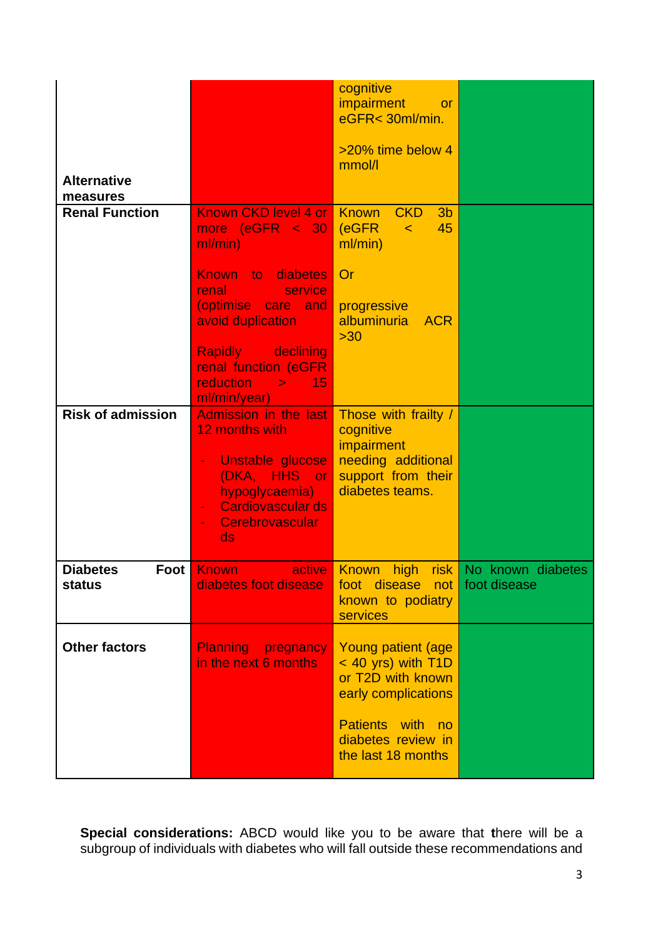| <b>Alternative</b><br>measures    |                                                                                                                                                                                                                                                         | cognitive<br>impairment<br><b>or</b><br>eGFR< 30ml/min.<br>>20% time below 4<br>mmol/l                                                                          |                                          |
|-----------------------------------|---------------------------------------------------------------------------------------------------------------------------------------------------------------------------------------------------------------------------------------------------------|-----------------------------------------------------------------------------------------------------------------------------------------------------------------|------------------------------------------|
| <b>Renal Function</b>             | Known CKD level 4 or<br>more (eGFR < 30<br>ml/min)<br>Known to<br>diabetes<br>renal<br>service<br>(optimise care<br>and<br>avoid duplication<br>declining<br><b>Rapidly</b><br>renal function (eGFR<br><b>reduction</b><br>15<br>$\geq$<br>ml/min/year) | <b>CKD</b><br><b>Known</b><br>3 <sub>b</sub><br>(eGFR<br>45<br>$\prec$<br>ml/min)<br>Or<br>progressive<br>albuminuria<br><b>ACR</b><br>$>30$                    |                                          |
| <b>Risk of admission</b>          | <b>Admission in the last</b><br>12 months with<br>Unstable glucose<br>۰<br>(DKA, HHS<br>$-$ or $-$<br>hypoglycaemia)<br><b>Cardiovascular ds</b><br>Cerebrovascular<br>ds                                                                               | Those with frailty /<br>cognitive<br>impairment<br>needing additional<br>support from their<br>diabetes teams.                                                  |                                          |
| <b>Diabetes</b><br>Foot<br>status | Known<br>active<br>diabetes foot disease                                                                                                                                                                                                                | <b>Known</b><br>high<br>foot disease not<br>known to podiatry<br>services                                                                                       | risk   No known diabetes<br>foot disease |
| <b>Other factors</b>              | <b>Planning</b><br>pregnancy<br>in the next 6 months                                                                                                                                                                                                    | <b>Young patient (age)</b><br>< 40 yrs) with T1D<br>or T2D with known<br>early complications<br>Patients with<br>no<br>diabetes review in<br>the last 18 months |                                          |

**Special considerations:** ABCD would like you to be aware that **t**here will be a subgroup of individuals with diabetes who will fall outside these recommendations and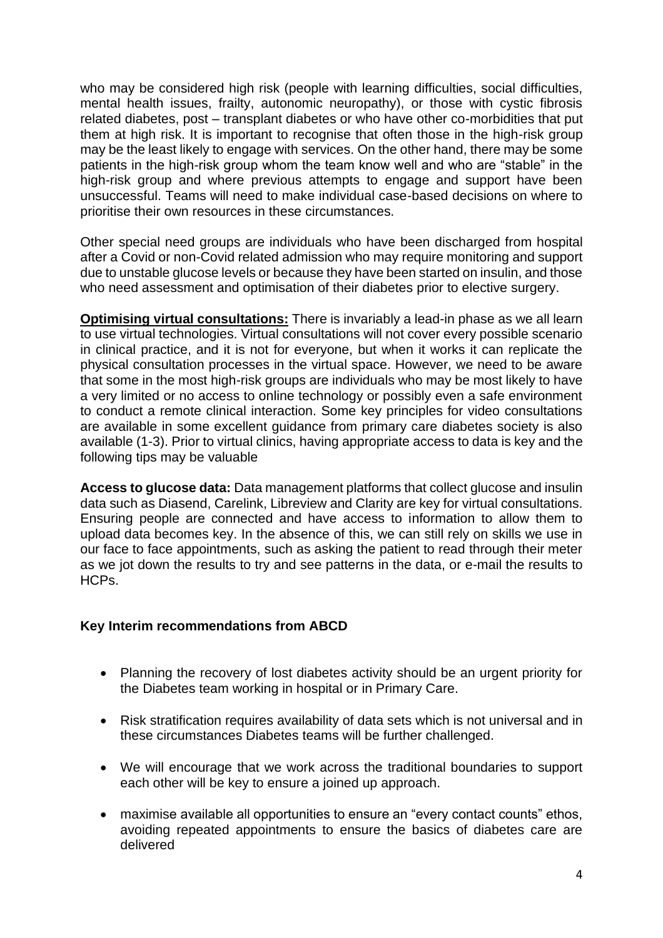who may be considered high risk (people with learning difficulties, social difficulties, mental health issues, frailty, autonomic neuropathy), or those with cystic fibrosis related diabetes, post – transplant diabetes or who have other co-morbidities that put them at high risk. It is important to recognise that often those in the high-risk group may be the least likely to engage with services. On the other hand, there may be some patients in the high-risk group whom the team know well and who are "stable" in the high-risk group and where previous attempts to engage and support have been unsuccessful. Teams will need to make individual case-based decisions on where to prioritise their own resources in these circumstances.

Other special need groups are individuals who have been discharged from hospital after a Covid or non-Covid related admission who may require monitoring and support due to unstable glucose levels or because they have been started on insulin, and those who need assessment and optimisation of their diabetes prior to elective surgery.

**Optimising virtual consultations:** There is invariably a lead-in phase as we all learn to use virtual technologies. Virtual consultations will not cover every possible scenario in clinical practice, and it is not for everyone, but when it works it can replicate the physical consultation processes in the virtual space. However, we need to be aware that some in the most high-risk groups are individuals who may be most likely to have a very limited or no access to online technology or possibly even a safe environment to conduct a remote clinical interaction. Some key principles for video consultations are available in some excellent guidance from primary care diabetes society is also available (1-3). Prior to virtual clinics, having appropriate access to data is key and the following tips may be valuable

**Access to glucose data:** Data management platforms that collect glucose and insulin data such as Diasend, Carelink, Libreview and Clarity are key for virtual consultations. Ensuring people are connected and have access to information to allow them to upload data becomes key. In the absence of this, we can still rely on skills we use in our face to face appointments, such as asking the patient to read through their meter as we jot down the results to try and see patterns in the data, or e-mail the results to HCPs.

#### **Key Interim recommendations from ABCD**

- Planning the recovery of lost diabetes activity should be an urgent priority for the Diabetes team working in hospital or in Primary Care.
- Risk stratification requires availability of data sets which is not universal and in these circumstances Diabetes teams will be further challenged.
- We will encourage that we work across the traditional boundaries to support each other will be key to ensure a joined up approach.
- maximise available all opportunities to ensure an "every contact counts" ethos, avoiding repeated appointments to ensure the basics of diabetes care are delivered